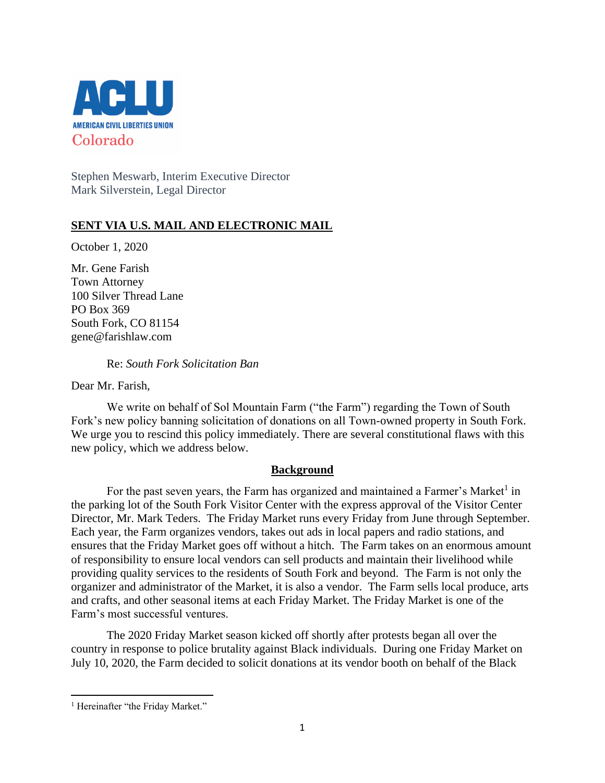

Stephen Meswarb, Interim Executive Director Mark Silverstein, Legal Director

## **SENT VIA U.S. MAIL AND ELECTRONIC MAIL**

October 1, 2020

Mr. Gene Farish Town Attorney 100 Silver Thread Lane PO Box 369 South Fork, CO 81154 gene@farishlaw.com

Re: *South Fork Solicitation Ban*

Dear Mr. Farish,

We write on behalf of Sol Mountain Farm ("the Farm") regarding the Town of South Fork's new policy banning solicitation of donations on all Town-owned property in South Fork. We urge you to rescind this policy immediately. There are several constitutional flaws with this new policy, which we address below.

## **Background**

For the past seven years, the Farm has organized and maintained a Farmer's Market<sup>1</sup> in the parking lot of the South Fork Visitor Center with the express approval of the Visitor Center Director, Mr. Mark Teders. The Friday Market runs every Friday from June through September. Each year, the Farm organizes vendors, takes out ads in local papers and radio stations, and ensures that the Friday Market goes off without a hitch. The Farm takes on an enormous amount of responsibility to ensure local vendors can sell products and maintain their livelihood while providing quality services to the residents of South Fork and beyond. The Farm is not only the organizer and administrator of the Market, it is also a vendor. The Farm sells local produce, arts and crafts, and other seasonal items at each Friday Market. The Friday Market is one of the Farm's most successful ventures.

The 2020 Friday Market season kicked off shortly after protests began all over the country in response to police brutality against Black individuals. During one Friday Market on July 10, 2020, the Farm decided to solicit donations at its vendor booth on behalf of the Black

<sup>&</sup>lt;sup>1</sup> Hereinafter "the Friday Market."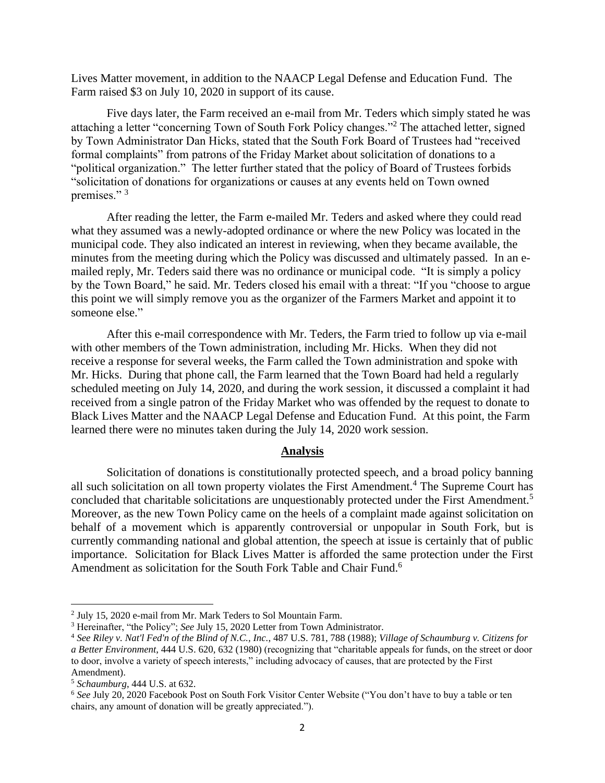Lives Matter movement, in addition to the NAACP Legal Defense and Education Fund. The Farm raised \$3 on July 10, 2020 in support of its cause.

Five days later, the Farm received an e-mail from Mr. Teders which simply stated he was attaching a letter "concerning Town of South Fork Policy changes."<sup>2</sup> The attached letter, signed by Town Administrator Dan Hicks, stated that the South Fork Board of Trustees had "received formal complaints" from patrons of the Friday Market about solicitation of donations to a "political organization." The letter further stated that the policy of Board of Trustees forbids "solicitation of donations for organizations or causes at any events held on Town owned premises."<sup>3</sup>

After reading the letter, the Farm e-mailed Mr. Teders and asked where they could read what they assumed was a newly-adopted ordinance or where the new Policy was located in the municipal code. They also indicated an interest in reviewing, when they became available, the minutes from the meeting during which the Policy was discussed and ultimately passed. In an emailed reply, Mr. Teders said there was no ordinance or municipal code. "It is simply a policy by the Town Board," he said. Mr. Teders closed his email with a threat: "If you "choose to argue this point we will simply remove you as the organizer of the Farmers Market and appoint it to someone else."

After this e-mail correspondence with Mr. Teders, the Farm tried to follow up via e-mail with other members of the Town administration, including Mr. Hicks. When they did not receive a response for several weeks, the Farm called the Town administration and spoke with Mr. Hicks. During that phone call, the Farm learned that the Town Board had held a regularly scheduled meeting on July 14, 2020, and during the work session, it discussed a complaint it had received from a single patron of the Friday Market who was offended by the request to donate to Black Lives Matter and the NAACP Legal Defense and Education Fund. At this point, the Farm learned there were no minutes taken during the July 14, 2020 work session.

## **Analysis**

Solicitation of donations is constitutionally protected speech, and a broad policy banning all such solicitation on all town property violates the First Amendment.<sup>4</sup> The Supreme Court has concluded that charitable solicitations are unquestionably protected under the First Amendment.<sup>5</sup> Moreover, as the new Town Policy came on the heels of a complaint made against solicitation on behalf of a movement which is apparently controversial or unpopular in South Fork, but is currently commanding national and global attention, the speech at issue is certainly that of public importance. Solicitation for Black Lives Matter is afforded the same protection under the First Amendment as solicitation for the South Fork Table and Chair Fund.<sup>6</sup>

<sup>2</sup> July 15, 2020 e-mail from Mr. Mark Teders to Sol Mountain Farm.

<sup>3</sup> Hereinafter, "the Policy"; *See* July 15, 2020 Letter from Town Administrator.

<sup>4</sup> *See [Riley v. Nat'l Fed'n of the Blind of N.C., Inc.](https://advance.lexis.com/api/document?collection=cases&id=urn:contentItem:3S4X-DT40-003B-431V-00000-00&context=)*[, 487 U.S. 781, 788](https://advance.lexis.com/api/document?collection=cases&id=urn:contentItem:3S4X-DT40-003B-431V-00000-00&context=) (1988); *Village of Schaumburg v. Citizens for a Better Environment*, 444 U.S. 620, 632 (1980) (recognizing that "charitable appeals for funds, on the street or door to door, involve a variety of speech interests," including advocacy of causes, that are protected by the First Amendment).

<sup>5</sup> *Schaumburg*, 444 U.S. at 632.

<sup>6</sup> *See* July 20, 2020 Facebook Post on South Fork Visitor Center Website ("You don't have to buy a table or ten chairs, any amount of donation will be greatly appreciated.").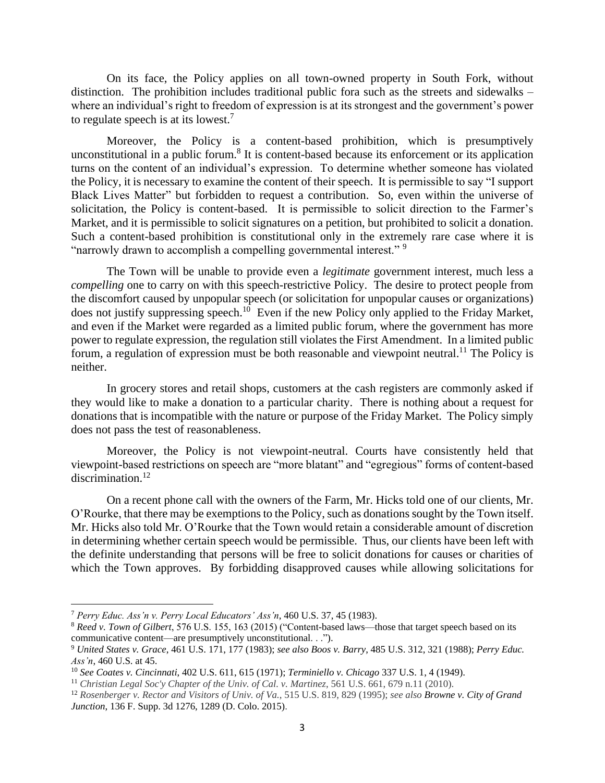On its face, the Policy applies on all town-owned property in South Fork, without distinction. The prohibition includes traditional public fora such as the streets and sidewalks – where an individual's right to freedom of expression is at its strongest and the government's power to regulate speech is at its lowest.<sup>7</sup>

Moreover, the Policy is a content-based prohibition, which is presumptively unconstitutional in a public forum.<sup>8</sup> It is content-based because its enforcement or its application turns on the content of an individual's expression. To determine whether someone has violated the Policy, it is necessary to examine the content of their speech. It is permissible to say "I support Black Lives Matter" but forbidden to request a contribution. So, even within the universe of solicitation, the Policy is content-based. It is permissible to solicit direction to the Farmer's Market, and it is permissible to solicit signatures on a petition, but prohibited to solicit a donation. Such a content-based prohibition is constitutional only in the extremely rare case where it is "narrowly drawn to accomplish a compelling governmental interest."<sup>9</sup>

The Town will be unable to provide even a *legitimate* government interest, much less a *compelling* one to carry on with this speech-restrictive Policy. The desire to protect people from the discomfort caused by unpopular speech (or solicitation for unpopular causes or organizations) does not justify suppressing speech.<sup>10</sup> Even if the new Policy only applied to the Friday Market, and even if the Market were regarded as a limited public forum, where the government has more power to regulate expression, the regulation still violates the First Amendment. In a limited public forum, a regulation of expression must be both reasonable and viewpoint neutral.<sup>11</sup> The Policy is neither.

In grocery stores and retail shops, customers at the cash registers are commonly asked if they would like to make a donation to a particular charity. There is nothing about a request for donations that is incompatible with the nature or purpose of the Friday Market. The Policy simply does not pass the test of reasonableness.

Moreover, the Policy is not viewpoint-neutral. Courts have consistently held that viewpoint-based restrictions on speech are "more blatant" and "egregious" forms of content-based discrimination.<sup>12</sup>

On a recent phone call with the owners of the Farm, Mr. Hicks told one of our clients, Mr. O'Rourke, that there may be exemptions to the Policy, such as donations sought by the Town itself. Mr. Hicks also told Mr. O'Rourke that the Town would retain a considerable amount of discretion in determining whether certain speech would be permissible. Thus, our clients have been left with the definite understanding that persons will be free to solicit donations for causes or charities of which the Town approves. By forbidding disapproved causes while allowing solicitations for

<sup>7</sup> *Perry Educ. Ass'n v. Perry Local Educators' Ass'n*, 460 U.S. 37, 45 (1983).

<sup>8</sup> *Reed v. Town of Gilbert*, 576 U.S. 155, 163 (2015) ("Content-based laws—those that target speech based on its communicative content—are presumptively unconstitutional. . .").

<sup>9</sup> *United States v. Grace*, 461 U.S. 171, 177 (1983); *see also Boos v. Barry*, 485 U.S. 312, 321 (1988); *Perry Educ. Ass'n*, 460 U.S. at 45.

<sup>10</sup> *See Coates v. Cincinnati*, 402 U.S. 611, 615 (1971); *Terminiello v. Chicago* 337 U.S. 1, 4 (1949).

<sup>11</sup> *Christian Legal Soc'y Chapter of the Univ. of Cal. v. Martinez*, 561 U.S. 661, 679 n.11 (2010).

<sup>12</sup> *Rosenberger v. Rector and Visitors of Univ. of Va.*, 515 U.S. 819, 829 (1995); *see also Browne v. City of Grand Junction*, 136 F. Supp. 3d 1276, 1289 (D. Colo. 2015).